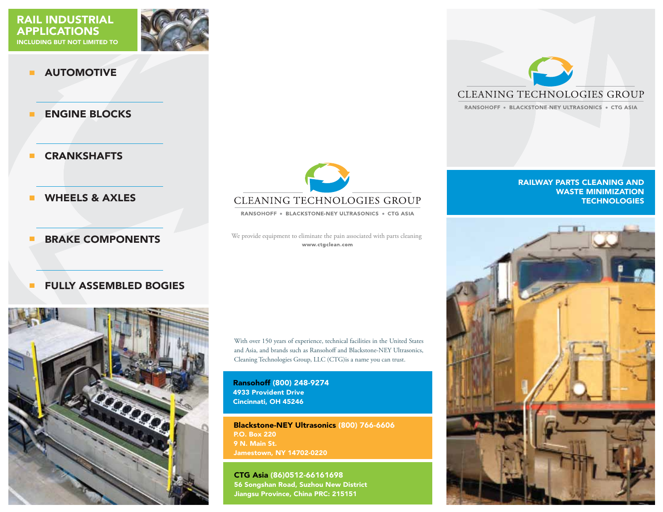

#### AUTOMOTIVE  $\blacksquare$

ENGINE BLOCKS  $\blacksquare$ 

**CRANKSHAFTS**  $\blacksquare$ 

WHEELS & AXLES п

 $\blacksquare$ 

#### BRAKE COMPONENTS

## FULLY ASSEMBLED BOGIES





RANSOHOFF . BLACKSTONE-NEY ULTRASONICS . CTG ASIA

We provide equipment to eliminate the pain associated with parts cleaning www.ctgclean.com

With over 150 years of experience, technical facilities in the United States and Asia, and brands such as Ransohoff and Blackstone-NEY Ultrasonics, Cleaning Technologies Group, LLC (CTG)is a name you can trust.

Ransohoff (800) 248-9274 4933 Provident Drive Cincinnati, OH 45246

Blackstone-NEY Ultrasonics (800) 766-6606 P.O. Box 220 9 N. Main St. Jamestown, NY 14702-0220

CTG Asia (86)0512-66161698 56 Songshan Road, Suzhou New District Jiangsu Province, China PRC: 215151



RANSOHOFF . BLACKSTONE-NEY ULTRASONICS . CTG ASIA

#### RAILWAY PARTS CLEANING AND WASTE MINIMIZATION **TECHNOLOGIES**